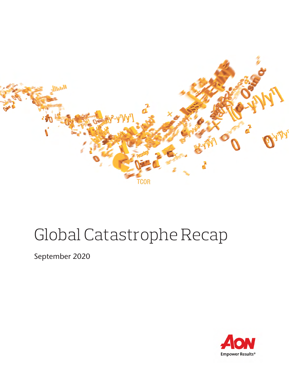

# Global Catastrophe Recap

September 2020

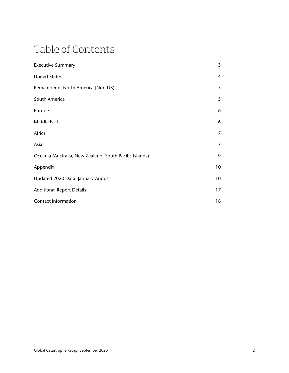## Table of Contents

| <b>Executive Summary</b>                                | 3              |
|---------------------------------------------------------|----------------|
| <b>United States</b>                                    | $\overline{4}$ |
| Remainder of North America (Non-US)                     | 5              |
| South America                                           | 5              |
| Europe                                                  | 6              |
| Middle East                                             | 6              |
| Africa                                                  | 7              |
| Asia                                                    | 7              |
| Oceania (Australia, New Zealand, South Pacific Islands) | 9              |
| Appendix                                                | 10             |
| Updated 2020 Data: January-August                       | 10             |
| <b>Additional Report Details</b>                        | 17             |
| <b>Contact Information</b>                              | 18             |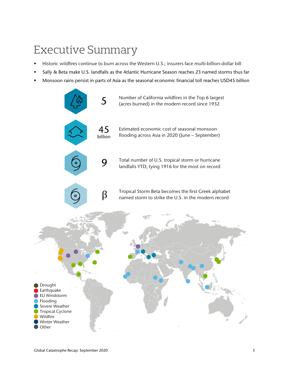## Executive Summary

- Historic wildfires continue to burn across the Western U.S.; insurers face multi-billion-dollar bill
- Sally & Beta make U.S. landfalls as the Atlantic Hurricane Season reaches 23 named storms thus far
- Monsoon rains persist in parts of Asia as the seasonal economic financial toll reaches USD45 billion

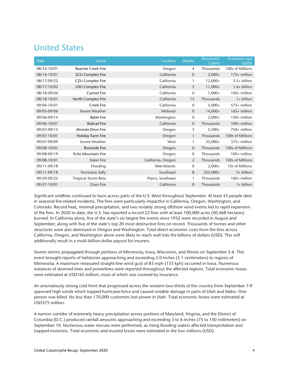## United States

| Date        | Event                     | Location           | <b>Deaths</b>  | Structures/<br><b>Claims</b> | <b>Economic Loss</b><br>(USD) |
|-------------|---------------------------|--------------------|----------------|------------------------------|-------------------------------|
| 08/16-10/01 | <b>Beachie Creek Fire</b> | Oregon             | 4              | Thousands                    | 100s of Millions              |
| 08/16-10/01 | <b>SCU Complex Fire</b>   | California         | $\overline{0}$ | $2,000+$                     | $175+$ million                |
| 08/17-09/22 | <b>CZU Complex Fire</b>   | California         | 1              | $12,000+$                    | $3.5+$ billion                |
| 08/17-10/02 | LNU Complex Fire          | California         | 5              | $11,000+$                    | $1.6+$ billion                |
| 08/18-09/04 | <b>Carmel Fire</b>        | California         | $\mathbf{0}$   | $1,000+$                     | 100+ million                  |
| 08/18-10/01 | North Complex Fire        | California         | 15             | Thousands                    | $1+$ billion                  |
| 09/04-10/01 | <b>Creek Fire</b>         | California         | $\mathbf 0$    | $5,000+$                     | 575+ million                  |
| 09/05-09/06 | Severe Weather            | Midwest            | $\overline{0}$ | $14,000+$                    | $165+$ million                |
| 09/06-09/14 | <b>Babb Fire</b>          | Washington         | $\mathbf 0$    | $2,000+$                     | 150+ million                  |
| 09/06-10/01 | <b>Bobcat Fire</b>        | California         | $\overline{0}$ | Thousands                    | $100+$ million                |
| 09/07-09/15 | Almeda Drive Fire         | Oregon             | 3              | $5,500+$                     | 750+ million                  |
| 09/07-10/01 | Holiday Farm Fire         | Oregon             | 1              | Thousands                    | 100s of Millions              |
| 09/07-09/09 | Severe Weather            | West               | 1              | $35,000+$                    | 375+ million                  |
| 09/08-10/01 | <b>Riverside Fire</b>     | Oregon             | $\mathbf 0$    | Thousands                    | 100s of Millions              |
| 09/08-09/19 | Echo Mountain Fire        | Oregon             | 0              | Thousands                    | $100+$ million                |
| 09/08-10/01 | <b>Slater Fire</b>        | California, Oregon | 2              | Thousands                    | 100s of Millions              |
| 09/11-09/18 | Flooding                  | Mid-Atlantic       | 0              | $2,000+$                     | 10s of Millions               |
| 09/11-09/18 | <b>Hurricane Sally</b>    | Southeast          | 8              | 225,000+                     | 5+ billion                    |
| 09/20-09/25 | Tropical Storm Beta       | Plains, Southeast  | 1              | Thousands                    | 100+ million                  |
| 09/27-10/01 | <b>Glass Fire</b>         | California         | $\overline{0}$ | Thousands                    | $1+$ billion                  |

Significant wildfires continued to burn across parts of the U.S. West throughout September. At least 43 people died in seasonal fire-related incidents. The fires were particularly impactful in California, Oregon, Washington, and Colorado. Record heat, minimal precipitation, and two notably strong offshore wind events led to rapid expansion of the fires. In 2020 to date, the U.S. has reported a record 22 fires with at least 100,000 acres (40,468 hectares) burned. In California alone, five of the state's six largest fire events since 1932 were recorded in August and September; along with five of the state's top 20 most destructive fires on record. Thousands of homes and other structures were also destroyed in Oregon and Washington. Total direct economic costs from the fires across California, Oregon, and Washington alone were likely to reach well into the billions of dollars (USD). This will additionally result in a multi-billion-dollar payout for insurers.

Severe storms propagated through portions of Minnesota, Iowa, Wisconsin, and Illinois on September 5-6. This event brought reports of hailstones approaching and exceeding 2.0 inches (5.1 centimeters) to regions of Minnesota. A maximum measured straight-line wind gust of 83 mph (133 kph) occurred in Iowa. Numerous instances of downed trees and powerlines were reported throughout the affected regions. Total economic losses were estimated at USD165 million; most of which was covered by insurance.

An anomalously strong cold front that progressed across the western two-thirds of the country from September 7-9 spawned high winds which topped hurricane-force and caused notable damage in parts of Utah and Idaho. One person was killed. No less than 170,000 customers lost power in Utah. Total economic losses were estimated at USD375 million.

A narrow corridor of extremely heavy precipitation across portions of Maryland, Virginia, and the District of Columbia (D.C.) produced rainfall amounts approaching and exceeding 3 to 6 inches (75 to 150 millimeters) on September 10. Numerous water rescues were performed, as rising flooding waters affected transportation and trapped motorists. Total economic and insured losses were estimated in the low millions (USD).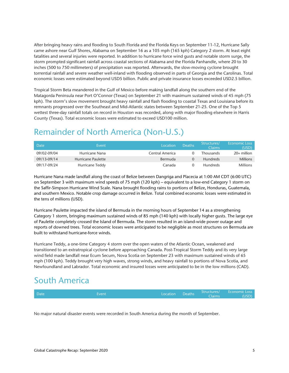After bringing heavy rains and flooding to South Florida and the Florida Keys on September 11-12, Hurricane Sally came ashore near Gulf Shores, Alabama on September 16 as a 105 mph (165 kph) Category 2 storm. At least eight fatalities and several injuries were reported. In addition to hurricane force wind gusts and notable storm surge, the storm prompted significant rainfall across coastal sections of Alabama and the Florida Panhandle, where 20 to 30 inches (500 to 750 millimeters) of precipitation was reported. Afterwards, the slow-moving cyclone brought torrential rainfall and severe weather well-inland with flooding observed in parts of Georgia and the Carolinas. Total economic losses were estimated beyond USD5 billion. Public and private insurance losses exceeded USD2.5 billion.

Tropical Storm Beta meandered in the Gulf of Mexico before making landfall along the southern end of the Matagorda Peninsula near Port O'Connor (Texas) on September 21 with maximum sustained winds of 45 mph (75 kph). The storm's slow movement brought heavy rainfall and flash flooding to coastal Texas and Louisiana before its remnants progressed over the Southeast and Mid-Atlantic states between September 21-25. One of the Top 5 wettest three-day rainfall totals on record in Houston was recorded, along with major flooding elsewhere in Harris County (Texas). Total economic losses were estimated to exceed USD100 million.

## Remainder of North America (Non-U.S.)

| Date        | Event              | <b>Location</b> | <b>Deaths</b> | Structures/<br>Claims | Economic Loss<br>(USD). |
|-------------|--------------------|-----------------|---------------|-----------------------|-------------------------|
| 09/02-09/04 | Hurricane Nana     | Central America |               | <b>Thousands</b>      | $20+$ million           |
| 09/13-09/14 | Hurricane Paulette | <b>Bermuda</b>  |               | <b>Hundreds</b>       | <b>Millions</b>         |
| 09/17-09/24 | Hurricane Teddy    | Canada          |               | <b>Hundreds</b>       | <b>Millions</b>         |

Hurricane Nana made landfall along the coast of Belize between Dangriga and Placecia at 1:00 AM CDT (6:00 UTC) on September 3 with maximum wind speeds of 75 mph (120 kph) – equivalent to a low-end Category 1 storm on the Saffir-Simpson Hurricane Wind Scale. Nana brought flooding rains to portions of Belize, Honduras, Guatemala, and southern Mexico. Notable crop damage occurred in Belize. Total combined economic losses were estimated in the tens of millions (USD).

Hurricane Paulette impacted the island of Bermuda in the morning hours of September 14 as a strengthening Category 1 storm, bringing maximum sustained winds of 85 mph (140 kph) with locally higher gusts. The large eye of Paulette completely crossed the Island of Bermuda. The storm resulted in an island-wide power outage and reports of downed trees. Total economic losses were anticipated to be negligible as most structures on Bermuda are built to withstand hurricane-force winds.

Hurricane Teddy, a one-time Category 4 storm over the open waters of the Atlantic Ocean, weakened and transitioned to an extratropical cyclone before approaching Canada. Post-Tropical Storm Teddy and its very large wind field made landfall near Ecum Secum, Nova Scotia on September 23 with maximum sustained winds of 65 mph (100 kph). Teddy brought very high waves, strong winds, and heavy rainfall to portions of Nova Scotia, and Newfoundland and Labrador. Total economic and insured losses were anticipated to be in the low millions (CAD).

## South America

| <b>Date</b> | Fvent | Location Deaths | Claims | Structures/ Economic Loss<br><b>YUSDI</b> |
|-------------|-------|-----------------|--------|-------------------------------------------|
|             |       |                 |        |                                           |

No major natural disaster events were recorded in South America during the month of September.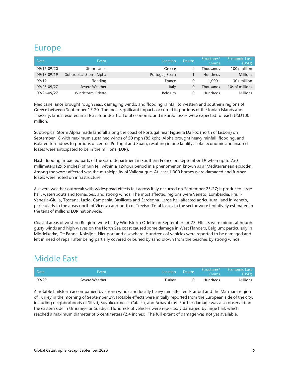## Europe

| Date        | Event                   | Location        | <b>Deaths</b> | Structures/<br>Claims | <b>Economic Loss</b><br>(USD) |
|-------------|-------------------------|-----------------|---------------|-----------------------|-------------------------------|
| 09/15-09/20 | Storm lanos             | Greece          | 4             | Thousands             | $100+$ million                |
| 09/18-09/19 | Subtropical Storm Alpha | Portugal, Spain |               | <b>Hundreds</b>       | <b>Millions</b>               |
| 09/19       | Flooding                | France          | 0             | $1.000 +$             | $30+$ million                 |
| 09/25-09/27 | Severe Weather          | Italy           |               | <b>Thousands</b>      | 10s of millions               |
| 09/26-09/27 | Windstorm Odette        | Belgium         |               | <b>Hundreds</b>       | Millions                      |

Medicane Ianos brought rough seas, damaging winds, and flooding rainfall to western and southern regions of Greece between September 17-20. The most significant impacts occurred in portions of the Ionian Islands and Thessaly. Ianos resulted in at least four deaths. Total economic and insured losses were expected to reach USD100 million.

Subtropical Storm Alpha made landfall along the coast of Portugal near Figueira Da Foz (north of Lisbon) on September 18 with maximum sustained winds of 50 mph (85 kph). Alpha brought heavy rainfall, flooding, and isolated tornadoes to portions of central Portugal and Spain, resulting in one fatality. Total economic and insured losses were anticipated to be in the millions (EUR).

Flash flooding impacted parts of the Gard department in southern France on September 19 when up to 750 millimeters (29.5 inches) of rain fell within a 12-hour period in a phenomenon known as a 'Mediterranean episode'. Among the worst affected was the municipality of Valleraugue. At least 1,000 homes were damaged and further losses were noted on infrastructure.

A severe weather outbreak with widespread effects felt across Italy occurred on September 25-27; it produced large hail, waterspouts and tornadoes, and strong winds. The most affected regions were Veneto, Lombardia, Friuli-Venezia-Giulia, Toscana, Lazio, Campania, Basilicata and Sardegna. Large hail affected agricultural land in Veneto, particularly in the areas north of Vicenza and north of Treviso. Total losses in the sector were tentatively estimated in the tens of millions EUR nationwide.

Coastal areas of western Belgium were hit by Windstorm Odette on September 26-27. Effects were minor, although gusty winds and high waves on the North Sea coast caused some damage in West Flanders, Belgium; particularly in Middelkerke, De Panne, Koksijde, Nieuport and elsewhere. Hundreds of vehicles were reported to be damaged and left in need of repair after being partially covered or buried by sand blown from the beaches by strong winds.

## Middle East

| Date  | Event          | Location | <b>Deaths</b> | Structures/<br>Claims | <b>Economic Loss</b><br>(USD) |
|-------|----------------|----------|---------------|-----------------------|-------------------------------|
| 09/29 | Severe Weather | Turkey   |               | <b>Hundreds</b>       | Millions                      |

A notable hailstorm accompanied by strong winds and locally heavy rain affected Istanbul and the Marmara region of Turkey in the morning of September 29. Notable effects were initially reported from the European side of the city, including neighborhoods of Silivri, Buyukcekmece, Catalca, and Arnavutkoy. Further damage was also observed on the eastern side in Umraniye or Suadiye. Hundreds of vehicles were reportedly damaged by large hail; which reached a maximum diameter of 6 centimeters (2.4 inches). The full extent of damage was not yet available.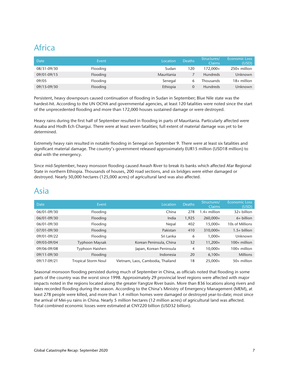## Africa

| Date        | Event    | Location   | <b>Deaths</b> | Structures/<br>Claims | <b>Economic Loss</b><br>(USD) |
|-------------|----------|------------|---------------|-----------------------|-------------------------------|
| 08/31-09/30 | Flooding | Sudan      | 120           | 172.000+              | $250+$ million                |
| 09/01-09/15 | Flooding | Mauritania |               | <b>Hundreds</b>       | <b>Unknown</b>                |
| 09/05       | Flooding | Senegal    |               | <b>Thousands</b>      | $18+$ million                 |
| 09/15-09/30 | Flooding | Ethiopia   |               | <b>Hundreds</b>       | Unknown                       |

Persistent, heavy downpours caused continuation of flooding in Sudan in September; Blue Nile state was the hardest-hit. According to the UN OCHA and governmental agencies, at least 120 fatalities were noted since the start of the unprecedented flooding and more than 172,000 houses sustained damage or were destroyed.

Heavy rains during the first half of September resulted in flooding in parts of Mauritania. Particularly affected were Assaba and Hodh Ech Chargui. There were at least seven fatalities; full extent of material damage was yet to be determined.

Extremely heavy rain resulted in notable flooding in Senegal on September 9. There were at least six fatalities and significant material damage. The country's government released approximately EUR15 million (USD18 million) to deal with the emergency.

Since mid-September, heavy monsoon flooding caused Awash River to break its banks which affected Afar Regional State in northern Ethiopia. Thousands of houses, 200 road sections, and six bridges were either damaged or destroyed. Nearly 50,000 hectares (125,000 acres) of agricultural land was also affected.

## Asia

| Date        | Event                      | Location                          | <b>Deaths</b> | Structures/<br><b>Claims</b> | <b>Economic Loss</b><br>(USD) |
|-------------|----------------------------|-----------------------------------|---------------|------------------------------|-------------------------------|
| 06/01-09/30 | Flooding                   | China                             | 278           | $.4+$ million                | $32+$ billion                 |
| 06/01-09/30 | Flooding                   | India                             | 1,925         | 260,000+                     | $6+$ billion                  |
| 06/01-09/30 | Flooding                   | Nepal                             | 402           | 15.000+                      | 10s of Millions               |
| 07/01-09/30 | Flooding                   | Pakistan                          | 410           | 310,000+                     | $1.5+$ billion                |
| 09/01-09/22 | Flooding                   | Sri Lanka                         | 6             | $1.000+$                     | Unknown                       |
| 09/03-09/04 | Typhoon Maysak             | Korean Peninsula, China           | 32            | $11,200+$                    | $100+$ million                |
| 09/06-09/08 | Typhoon Haishen            | Japan, Korean Peninsula           | 4             | $10,000+$                    | $100+$ million                |
| 09/11-09/30 | Flooding                   | Indonesia                         | 20            | $6,100+$                     | <b>Millions</b>               |
| 09/17-09/21 | <b>Tropical Storm Noul</b> | Vietnam, Laos, Cambodia, Thailand | 18            | $25,000+$                    | $50+$ million                 |

Seasonal monsoon flooding persisted during much of September in China, as officials noted that flooding in some parts of the country was the worst since 1998. Approximately 29 provincial level regions were affected with major impacts noted in the regions located along the greater Yangtze River basin. More than 836 locations along rivers and lakes recorded flooding during the season. According to the China's Ministry of Emergency Management (MEM), at least 278 people were killed, and more than 1.4 million homes were damaged or destroyed year-to-date; most since the arrival of Mei-yu rains in China. Nearly 5 million hectares (12 million acres) of agricultural land was affected. Total combined economic losses were estimated at CNY220 billion (USD32 billion).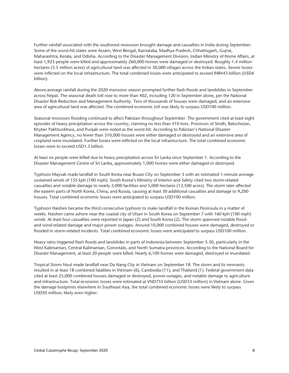Further rainfall associated with the southwest monsoon brought damage and casualties in India during September. Some of the worst-hit states were Assam, West Bengal, Karnataka, Madhya Pradesh, Chhattisgarh, Gujrat, Maharashtra, Kerala, and Odisha. According to the Disaster Management Division, Indian Ministry of Home Affairs, at least 1,925 people were killed and approximately 260,000 homes were damaged or destroyed. Roughly 1.4 million hectares (3.5 million acres) of agricultural land was affected in 30,000 villages across the Indian states. Severe losses were inflicted on the local infrastructure. The total combined losses were anticipated to exceed INR443 billion (USD6 billion).

Above-average rainfall during the 2020 monsoon season prompted further flash floods and landslides in September across Nepal. The seasonal death toll rose to more than 402, including 120 in September alone, per the National Disaster Risk Reduction and Management Authority. Tens of thousands of houses were damaged, and an extensive area of agricultural land was affected. The combined economic toll was likely to surpass USD100 million.

Seasonal monsoon flooding continued to affect Pakistan throughout September. The government cited at least eight episodes of heavy precipitation across the country, claiming no less than 410 lives. Provinces of Sindh, Balochistan, Khyber Pakhtunkhwa, and Punjab were noted as the worst-hit. According to Pakistan's National Disaster Management Agency, no fewer than 310,000 houses were either damaged or destroyed and an extensive area of cropland were inundated. Further losses were inflicted on the local infrastructure. The total combined economic losses were to exceed USD1.5 billion.

At least six people were killed due to heavy precipitation across Sri Lanka since September 1. According to the Disaster Management Centre of Sri Lanka, approximately 1,000 homes were either damaged or destroyed.

Typhoon Maysak made landfall in South Korea near Busan City on September 3 with an estimated 1-minute average sustained winds of 155 kph (100 mph). South Korea's Ministry of Interior and Safety cited two storm-related casualties and notable damage to nearly 2,000 facilities and 5,000 hectares (12,500 acres). The storm later affected the eastern parts of North Korea, China, and Russia, causing at least 30 additional casualties and damage to 9,200 houses. Total combined economic losses were anticipated to surpass USD100 million.

Typhoon Haishen became the third consecutive typhoon to make landfall in the Korean Peninsula in a matter of weeks. Haishen came ashore near the coastal city of Ulsan in South Korea on September 7 with 160 kph (100 mph) winds. At least four casualties were reported in Japan (2) and South Korea (2). The storm spawned notable floodand wind-related damage and major power outages. Around 10,000 combined houses were damaged, destroyed or flooded in storm-related incidents. Total combined economic losses were anticipated to surpass USD100 million.

Heavy rains triggered flash floods and landslides in parts of Indonesia between September 5-30, particularly in the West Kalimantan, Central Kalimantan, Gorontalo, and North Sumatra provinces. According to the National Board for Disaster Management, at least 20 people were killed. Nearly 6,100 homes were damaged, destroyed or inundated.

Tropical Storm Noul made landfall near Da Nang City in Vietnam on September 18. The storm and its remnants resulted in at least 18 combined fatalities in Vietnam (6), Cambodia (11), and Thailand (1). Federal government data cited at least 25,000 combined houses damaged or destroyed, power-outages, and notable damage to agriculture and infrastructure. Total economic losses were estimated at VND755 billion (USD33 million) in Vietnam alone. Given the damage footprints elsewhere in Southeast Asia, the total combined economic losses were likely to surpass USD50 million; likely even higher.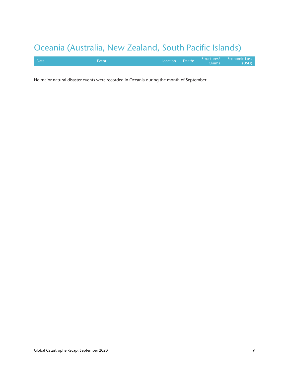## Oceania (Australia, New Zealand, South Pacific Islands)

| <b>Date</b> | Event | Location Deaths | Claims | Structures/ Economic Loss<br>(USD) |
|-------------|-------|-----------------|--------|------------------------------------|
|             |       |                 |        |                                    |

No major natural disaster events were recorded in Oceania during the month of September.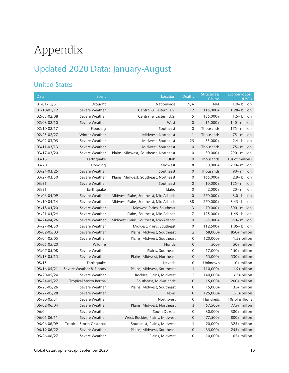## Appendix

## Updated 2020 Data: January-August

### United States

| <b>Date</b>     | Event                           | Location                                 | <b>Deaths</b>    | Structures/<br>Claims | <b>Economic Loss</b><br>(USD) |
|-----------------|---------------------------------|------------------------------------------|------------------|-----------------------|-------------------------------|
| 01/01-12/31     | Drought                         | Nationwide                               | N/A              | N/A                   | $1.0+$ billion                |
| 01/10-01/12     | Severe Weather                  | Central & Eastern U.S.                   | 12               | 115,000+              | $1.28 + billion$              |
| 02/03-02/08     | Severe Weather                  | Central & Eastern U.S.                   | 5                | 135,000+              | 1.5+ billion                  |
| 02/08-02/10     | Severe Weather                  | West                                     | $\mathbf 0$      | $15,000+$             | 140+ million                  |
| 02/10-02/17     | Flooding                        | Southeast                                | 0                | Thousands             | 175+ million                  |
| 02/25-02/27     | Winter Weather                  | Midwest, Northeast                       | $\mathbf{1}$     | Thousands             | 75+ million                   |
| 03/02-03/05     | Severe Weather                  | Midwest, Southeast                       | 25               | 55,000+               | $2.4+$ billion                |
| 03/11-03/13     | Severe Weather                  | Midwest, Southeast                       | $\mathbf 0$      | Thousands             | 75+ million                   |
| 03/17-03/20     | Severe Weather                  | Plains, Midwest, Southeast, Northeast    | 0                | $30,000+$             | 290+ million                  |
| 03/18           | Earthquake                      | Utah                                     | $\mathbf 0$      | Thousands             | 10s of millions               |
| 03/20           | Flooding                        | Midwest                                  | 8                | $30,000+$             | 290+ million                  |
| 03/24-03/25     | Severe Weather                  | Southeast                                | $\mathbf 0$      | Thousands             | 90+ million                   |
| 03/27-03/30     | Severe Weather                  | Plains, Midwest, Southeast, Northeast    | 0                | 165,000+              | 2.9+ billion                  |
| 03/31           | Severe Weather                  | Southeast                                | $\mathbf 0$      | $10,000+$             | 125+ million                  |
| 03/31           | Earthquake                      | Idaho                                    | 0                | $2,000+$              | 20+ million                   |
| 04/06-04/09     | Severe Weather                  | Midwest, Plains, Southeast, Mid-Atlantic | $\mathbf 0$      | 270,000+              | 3.0+ billion                  |
| 04/10-04/14     | Severe Weather                  | Midwest, Plains, Southeast, Mid-Atlantic | 38               | 270,000+              | $3.45+$ billion               |
| 04/18-04/20     | Severe Weather                  | Midwest, Plains, Southeast               | 3                | $70,000+$             | 800+ million                  |
| 04/21-04/24     | Severe Weather                  | Plains, Southeast, Mid-Atlantic          | 7                | 125,000+              | $1.45+$ billion               |
| 04/24-04/26     | Severe Weather                  | Midwest, Plains, Southeast, Mid-Atlantic | $\mathbf 0$      | $65,000+$             | 850+ million                  |
| 04/27-04/30     | Severe Weather                  | Midwest, Plains, Southeast               | 0                | $112,500+$            | 1.05+ billion                 |
| 05/02-05/03     | Severe Weather                  | Plains, Midwest, Southeast               | $\overline{2}$   | 68,000+               | 850+ million                  |
| 05/04-05/05     | Severe Weather                  | Plains, Midwest, Southeast               | 0                | 120,000+              | $1.5+$ billion                |
| 05/05-05/20     | Wildfire                        | Florida                                  | $\mathbf 0$      | $500+$                | 50+ million                   |
| 05/07-05/08     | Severe Weather                  | Plains, Southeast                        | $\mathbf 0$      | $17,000+$             | 150+ million                  |
| $05/13 - 05/15$ | Severe Weather                  | Plains, Midwest, Northeast               | $\boldsymbol{0}$ | $55,000+$             | 530+ million                  |
| 05/15           | Earthquake                      | Nevada                                   | 0                | Unknown               | 10+ million                   |
| 05/16-05/21     | Severe Weather & Floods         | Plains, Midwest, Southeast               | $\mathbf{1}$     | 110,000+              | $1.9+$ billion                |
| 05/20-05/24     | Severe Weather                  | Rockies, Plains, Midwest                 | 2                | 140,000+              | $1.65 + billion$              |
| 05/24-05/27     | <b>Tropical Storm Bertha</b>    | Southeast, Mid-Atlantic                  | $\mathbf 0$      | $15,000+$             | 200+ million                  |
| 05/25-05/26     | Severe Weather                  | Plains, Midwest, Southeast               | 0                | $15,000+$             | 135+ million                  |
| 05/27-05/28     | Severe Weather                  | Texas                                    | $\boldsymbol{0}$ | 125,000+              | $1.55+$ billion               |
| 05/30-05/31     | Severe Weather                  | Northwest                                | 0                | Hundreds              | 10s of millions               |
| 06/02-06/04     | Severe Weather                  | Plains, Midwest, Northeast               | 3                | $57,500+$             | 775+ million                  |
| 06/04           | Severe Weather                  | South Dakota                             | 0                | $30,000+$             | 380+ million                  |
| 06/05-06/11     | Severe Weather                  | West, Rockies, Plains, Midwest           | $\mathbf 0$      | 77,500+               | 800+ million                  |
| 06/06-06/09     | <b>Tropical Storm Cristobal</b> | Southeast, Plains, Midwest               | 1                | $20,000+$             | 325+ million                  |
| 06/19-06/22     | Severe Weather                  | Plains, Midwest, Southeast               | $\mathbf 0$      | $35,000+$             | 255+ million                  |
| 06/26-06/27     | Severe Weather                  | Plains, Midwest                          | $\mathbf 0$      | $10,000+$             | 65+ million                   |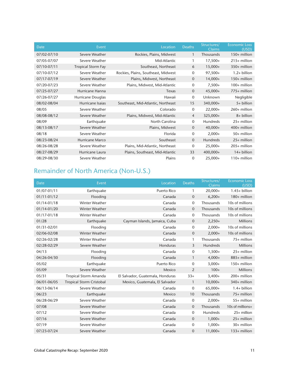| Date        | Event                     | Location                            | <b>Deaths</b>  | Structures/<br><b>Claims</b> | <b>Economic Loss</b><br>(USD) |
|-------------|---------------------------|-------------------------------------|----------------|------------------------------|-------------------------------|
| 07/02-07/10 | Severe Weather            | Rockies, Plains, Midwest            | $\mathbf{1}$   | Thousands                    | $150+$ million                |
| 07/05-07/07 | Severe Weather            | Mid-Atlantic                        | 1              | $17,500+$                    | $215+$ million                |
| 07/10-07/11 | <b>Tropical Storm Fay</b> | Southeast, Northeast                | 6              | $15,000+$                    | 350+ million                  |
| 07/10-07/12 | Severe Weather            | Rockies, Plains, Southeast, Midwest | $\mathbf 0$    | 97,500+                      | $1.2+$ billion                |
| 07/17-07/19 | Severe Weather            | Plains, Midwest, Northeast          | $\overline{0}$ | $14,000+$                    | 150+ million                  |
| 07/20-07/23 | Severe Weather            | Plains, Midwest, Mid-Atlantic       | $\mathbf 0$    | $7,500+$                     | 100+ million                  |
| 07/25-07/27 | Hurricane Hanna           | Texas                               | $\mathbf{0}$   | 45,000+                      | 775+ million                  |
| 07/26-07/27 | Hurricane Douglas         | Hawaii                              | $\mathbf 0$    | Unknown                      | Negligible                    |
| 08/02-08/04 | Hurricane Isaias          | Southeast, Mid-Atlantic, Northeast  | 15             | 340,000+                     | 5+ billion                    |
| 08/05       | Severe Weather            | Colorado                            | $\mathbf 0$    | $22,000+$                    | $260+$ million                |
| 08/08-08/12 | Severe Weather            | Plains, Midwest, Mid-Atlantic       | $\overline{4}$ | 325,000+                     | 8+ billion                    |
| 08/09       | Earthquake                | North Carolina                      | $\mathbf{0}$   | <b>Hundreds</b>              | 25+ million                   |
| 08/13-08/17 | Severe Weather            | Plains, Midwest                     | $\mathbf 0$    | $40,000+$                    | 400+ million                  |
| 08/18       | Severe Weather            | Florida                             | $\mathbf 0$    | $2,000+$                     | 50+ million                   |
| 08/23-08/24 | Hurricane Marco           | Southeast                           | $\overline{0}$ | Hundreds                     | $25+$ million                 |
| 08/26-08/28 | Severe Weather            | Plains, Mid-Atlantic, Northeast     | 0              | $25,000+$                    | 205+ million                  |
| 08/27-08/29 | Hurricane Laura           | Plains, Southeast, Mid-Atlantic     | 33             | 400,000+                     | 14+ billion                   |
| 08/29-08/30 | Severe Weather            | Plains                              | $\mathbf 0$    | $25,000+$                    | $110+$ million                |

### Remainder of North America (Non-U.S.)

| <b>Date</b>     | Event                           | Location                         | <b>Deaths</b>    | Structures/<br><b>Claims</b> | <b>Economic Loss</b><br>(USD) |
|-----------------|---------------------------------|----------------------------------|------------------|------------------------------|-------------------------------|
| 01/07-01/11     | Earthquake                      | <b>Puerto Rico</b>               | 1                | $20,000+$                    | $1.45+$ billion               |
| 01/11-01/12     | Flooding                        | Canada                           | $\mathbf{0}$     | $6,200+$                     | 180+ million                  |
| $01/14 - 01/18$ | <b>Winter Weather</b>           | Canada                           | $\mathbf 0$      | Thousands                    | 10s of millions               |
| 01/14-01/20     | Winter Weather                  | Canada                           | $\mathbf{0}$     | Thousands                    | 10s of millions               |
| 01/17-01/18     | Winter Weather                  | Canada                           | $\mathbf 0$      | Thousands                    | 10s of millions               |
| 01/28           | Earthquake                      | Cayman Islands, Jamaica, Cuba    | $\boldsymbol{0}$ | $2,250+$                     | <b>Millions</b>               |
| 01/31-02/01     | Flooding                        | Canada                           | $\mathbf 0$      | $2,000+$                     | 10s of millions               |
| 02/06-02/08     | <b>Winter Weather</b>           | Canada                           | $\mathbf{0}$     | $2,000+$                     | 10s of millions               |
| 02/26-02/28     | <b>Winter Weather</b>           | Canada                           | 1                | Thousands                    | 75+ million                   |
| 02/28-02/29     | Severe Weather                  | Honduras                         | 3                | <b>Hundreds</b>              | <b>Millions</b>               |
| 04/13           | Flooding                        | Canada                           | $\mathbf 0$      | $1,500+$                     | $25+$ million                 |
| 04/26-04/30     | Flooding                        | Canada                           | $\mathbf{1}$     | $4,000+$                     | 885+ million                  |
| 05/02           | Earthquake                      | <b>Puerto Rico</b>               | $\mathbf{0}$     | $3,000+$                     | $150+$ million                |
| 05/09           | Severe Weather                  | Mexico                           | 2                | $100+$                       | <b>Millions</b>               |
| 05/31           | <b>Tropical Storm Amanda</b>    | El Salvador, Guatemala, Honduras | $33+$            | $3,400+$                     | 200+ million                  |
| 06/01-06/05     | <b>Tropical Storm Cristobal</b> | Mexico, Guatemala, El Salvador   | $\mathbf{1}$     | $10,000+$                    | 340+ million                  |
| 06/13-06/14     | Severe Weather                  | Canada                           | 0                | $65,000+$                    | $1.4+$ billion                |
| 06/23           | Earthquake                      | Mexico                           | 10               | Thousands                    | 75+ million                   |
| 06/28-06/29     | Severe Weather                  | Canada                           | $\mathbf 0$      | $2,000+$                     | 55+ million                   |
| 07/08           | Severe Weather                  | Canada                           | 0                | Thousands                    | 10s of millions+              |
| 07/12           | Severe Weather                  | Canada                           | $\mathbf{O}$     | Hundreds                     | 25+ million                   |
| 07/16           | Severe Weather                  | Canada                           | $\mathbf{0}$     | $1,000+$                     | 25+ million                   |
| 07/19           | Severe Weather                  | Canada                           | 0                | $1,000+$                     | 30+ million                   |
| 07/23-07/24     | Severe Weather                  | Canada                           | $\mathbf 0$      | $11,000+$                    | 133+ million                  |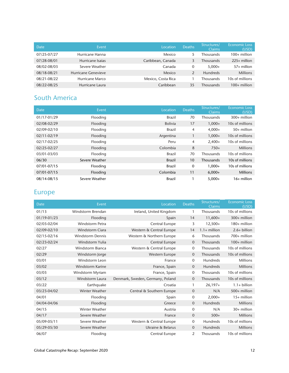| Date        | Event                      | Location           | <b>Deaths</b> | Structures/<br>Claims | <b>Economic Loss</b><br>(USD) |
|-------------|----------------------------|--------------------|---------------|-----------------------|-------------------------------|
| 07/25-07/27 | Hurricane Hanna            | Mexico             |               | Thousands             | $100+$ million                |
| 07/28-08/01 | Hurricane Isaias           | Caribbean, Canada  | 3             | Thousands             | $225+$ million                |
| 08/02-08/03 | Severe Weather             | Canada             | 0             | $5.000+$              | $57+$ million                 |
| 08/18-08/21 | <b>Hurricane Genevieve</b> | Mexico             |               | <b>Hundreds</b>       | <b>Millions</b>               |
| 08/21-08/22 | Hurricane Marco            | Mexico, Costa Rica |               | Thousands             | 10s of millions               |
| 08/22-08/25 | Hurricane Laura            | Caribbean          | 35            | Thousands             | $100+$ million                |

### South America

| <b>Date</b> | Event          | Location       | <b>Deaths</b> | Structures/<br><b>Claims</b> | <b>Economic Loss</b><br>(USD) |
|-------------|----------------|----------------|---------------|------------------------------|-------------------------------|
| 01/17-01/29 | Flooding       | <b>Brazil</b>  | 70            | <b>Thousands</b>             | $300+$ million                |
| 02/08-02/29 | Flooding       | <b>Bolivia</b> | 17            | $1,000+$                     | 10s of millions               |
| 02/09-02/10 | Flooding       | Brazil         | 4             | $4,000+$                     | $50+$ million                 |
| 02/11-02/19 | Flooding       | Argentina      |               | $1,000+$                     | 10s of millions               |
| 02/17-02/25 | Flooding       | Peru           | 4             | $2,400+$                     | 10s of millions               |
| 02/25-02/27 | Flooding       | Colombia       | 8             | $750+$                       | <b>Millions</b>               |
| 03/01-03/03 | Flooding       | <b>Brazil</b>  | 70            | Thousands                    | 10s of millions               |
| 06/30       | Severe Weather | <b>Brazil</b>  | 10            | <b>Thousands</b>             | 10s of millions               |
| 07/01-07/15 | Flooding       | <b>Brazil</b>  | $\mathbf 0$   | $1,000+$                     | 10s of millions               |
| 07/01-07/15 | Flooding       | Colombia       | 11            | $6,000+$                     | <b>Millions</b>               |
| 08/14-08/15 | Severe Weather | <b>Brazil</b>  |               | $5,000+$                     | 16+ million                   |

### Europe

| Date        | Event                   | Location                         | <b>Deaths</b>  | Structures/<br>Claims | <b>Economic Loss</b><br>(USD) |
|-------------|-------------------------|----------------------------------|----------------|-----------------------|-------------------------------|
| 01/13       | Windstorm Brendan       | Ireland, United Kingdom          | 1              | Thousands             | 10s of millions               |
| 01/19-01/23 | Flooding                | Spain                            | 14             | $11,600+$             | 300+ million                  |
| 02/03-02/04 | <b>Windstorm Petra</b>  | Central Europe                   | 3              | $12,500+$             | 180+ million                  |
| 02/09-02/10 | <b>Windstorm Ciara</b>  | Western & Central Europe         | 14             | $1.1+$ million        | $2.6+$ billion                |
| 02/15-02/16 | <b>Windstorm Dennis</b> | Western & Northern Europe        | 6              | Thousands             | 700+ million                  |
| 02/23-02/24 | Windstorm Yulia         | Central Europe                   | $\overline{0}$ | Thousands             | $100+$ million                |
| 02/27       | Windstorm Bianca        | Western & Central Europe         | $\mathbf{O}$   | Thousands             | 10s of millions               |
| 02/29       | Windstorm Jorge         | Western Europe                   | $\mathbf 0$    | Thousands             | 10s of millions               |
| 03/01       | Windstorm Leon          | France                           | $\mathbf{O}$   | Hundreds              | <b>Millions</b>               |
| 03/02       | <b>Windstorm Karine</b> | France, Spain                    | $\overline{0}$ | Hundreds              | <b>Millions</b>               |
| 03/03       | Windstorm Myriam        | France, Spain                    | 0              | Thousands             | 10s of millions               |
| 03/12       | <b>Windstorm Laura</b>  | Denmark, Sweden, Germany, Poland | $\mathbf{0}$   | Thousands             | 10s of millions               |
| 03/22       | Earthquake              | Croatia                          | 1              | $26,197+$             | $1.1+$ billion                |
| 03/23-04/02 | <b>Winter Weather</b>   | Central & Southern Europe        | $\mathbf 0$    | N/A                   | 500+ million                  |
| 04/01       | Flooding                | Spain                            | 0              | $2,000+$              | $15+$ million                 |
| 04/04-04/06 | Flooding                | Greece                           | $\overline{0}$ | <b>Hundreds</b>       | <b>Millions</b>               |
| 04/15       | <b>Winter Weather</b>   | Austria                          | 0              | N/A                   | 30+ million                   |
| 04/17       | Severe Weather          | France                           | $\mathbf{0}$   | $500+$                | <b>Millions</b>               |
| 05/09-05/11 | Severe Weather          | Western & Central Europe         | $\mathbf{O}$   | <b>Hundreds</b>       | 10s of millions               |
| 05/29-05/30 | Severe Weather          | Ukraine & Belarus                | $\mathbf{0}$   | <b>Hundreds</b>       | <b>Millions</b>               |
| 06/07       | Flooding                | Central Europe                   | 2              | Thousands             | 10s of millions               |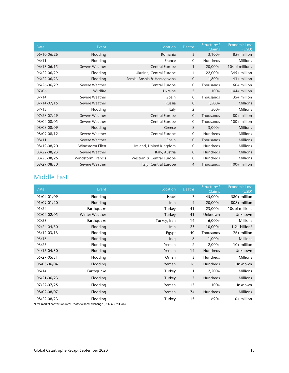| <b>Date</b> | Event                    | Location                     | <b>Deaths</b>  | Structures/<br><b>Claims</b> | <b>Economic Loss</b><br>(USD) |
|-------------|--------------------------|------------------------------|----------------|------------------------------|-------------------------------|
| 06/10-06/26 | Flooding                 | Romania                      | 3              | $3,100+$                     | 85+ million                   |
| 06/11       | Flooding                 | France                       | $\mathbf 0$    | Hundreds                     | <b>Millions</b>               |
| 06/13-06/15 | Severe Weather           | Central Europe               | $\mathbf{1}$   | $20,000+$                    | 10s of millions               |
| 06/22-06/29 | Flooding                 | Ukraine, Central Europe      | 4              | $22,000+$                    | 345+ million                  |
| 06/22-06/23 | Flooding                 | Serbia, Bosnia & Herzegovina | 0              | $1,800+$                     | $43+$ million                 |
| 06/26-06/29 | Severe Weather           | Central Europe               | $\mathbf 0$    | Thousands                    | 60+ million                   |
| 07/06       | Wildfire                 | Ukraine                      | 5              | $100+$                       | 144+ million                  |
| 07/14       | Severe Weather           | Spain                        | 0              | Thousands                    | 35+ million                   |
| 07/14-07/15 | Severe Weather           | Russia                       | $\mathbf 0$    | $1,500+$                     | <b>Millions</b>               |
| 07/15       | Flooding                 | Italy                        | 2              | $500+$                       | <b>Millions</b>               |
| 07/28-07/29 | Severe Weather           | Central Europe               | $\overline{0}$ | Thousands                    | 80+ million                   |
| 08/04-08/05 | Severe Weather           | Central Europe               | 0              | Thousands                    | 100+ million                  |
| 08/08-08/09 | Flooding                 | Greece                       | 8              | $3,000+$                     | <b>Millions</b>               |
| 08/09-08/12 | Severe Weather           | Central Europe               | $\mathbf{0}$   | Hundreds                     | <b>Millions</b>               |
| 08/11       | Severe Weather           | Spain                        | 0              | Thousands                    | <b>Millions</b>               |
| 08/19-08/20 | Windstorm Ellen          | Ireland, United Kingdom      | $\mathbf 0$    | Hundreds                     | <b>Millions</b>               |
| 08/22-08/23 | Severe Weather           | Italy, Austria               | $\mathbf 0$    | Hundreds                     | <b>Millions</b>               |
| 08/25-08/26 | <b>Windstorm Francis</b> | Western & Central Europe     | 0              | Hundreds                     | <b>Millions</b>               |
| 08/29-08/30 | Severe Weather           | Italy, Central Europe        | 4              | Thousands                    | 100+ million                  |

#### Middle East

| <b>Date</b> | Event          | Location     | <b>Deaths</b> | Structures/<br>Claims | <b>Economic Loss</b><br>(USD) |
|-------------|----------------|--------------|---------------|-----------------------|-------------------------------|
| 01/04-01/09 | Flooding       | Israel       | 7             | $45,000+$             | 580+ million                  |
| 01/09-01/20 | Flooding       | Iran         | 4             | $20,000+$             | 808+ million                  |
| 01/24       | Earthquake     | Turkey       | 41            | $23,000+$             | 10s of millions               |
| 02/04-02/05 | Winter Weather | Turkey       | 41            | Unknown               | Unknown                       |
| 02/23       | Earthquake     | Turkey, Iran | 14            | $6,000+$              | <b>Millions</b>               |
| 02/24-04/30 | Flooding       | <b>Iran</b>  | 23            | $10,000+$             | 1.2+ billion*                 |
| 03/12-03/13 | Flooding       | Egypt        | 40            | Thousands             | 76+ million                   |
| 03/18       | Flooding       | Iraq         | 8             | $1,000+$              | <b>Millions</b>               |
| 03/25       | Flooding       | Yemen        | 2             | $2,000+$              | $10+$ million                 |
| 04/15-04/30 | Flooding       | Yemen        | 14            | Hundreds              | Unknown                       |
| 05/27-05/31 | Flooding       | Oman         | 3             | Hundreds              | <b>Millions</b>               |
| 06/03-06/04 | Flooding       | Yemen        | 16            | Hundreds              | Unknown                       |
| 06/14       | Earthquake     | Turkey       | 1             | $2,200+$              | <b>Millions</b>               |
| 06/21-06/23 | Flooding       | Turkey       | 7             | Hundreds              | <b>Millions</b>               |
| 07/22-07/25 | Flooding       | Yemen        | 17            | $100+$                | Unknown                       |
| 08/02-08/07 | Flooding       | Yemen        | 174           | Hundreds              | <b>Millions</b>               |
| 08/22-08/23 | Flooding       | Turkey       | 15            | $690+$                | 10+ million                   |

\*Free market conversion rate; Unofficial local exchange (USD325 million)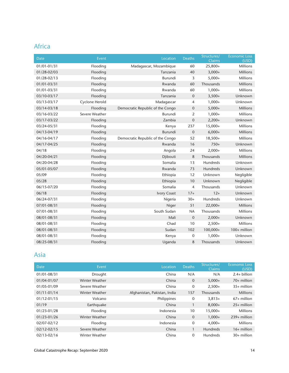### Africa

| Date        | Event          | Location                         | <b>Deaths</b>  | Structures/<br>Claims | <b>Economic Loss</b><br>(USD) |
|-------------|----------------|----------------------------------|----------------|-----------------------|-------------------------------|
| 01/01-01/31 | Flooding       | Madagascar, Mozambique           | 60             | $25,800+$             | <b>Millions</b>               |
| 01/28-02/03 | Flooding       | Tanzania                         | 40             | $3,000+$              | <b>Millions</b>               |
| 01/28-02/13 | Flooding       | Burundi                          | 3              | $5,000+$              | <b>Millions</b>               |
| 01/01-03/31 | Flooding       | Rwanda                           | 60             | Thousands             | <b>Millions</b>               |
| 01/01-03/31 | Flooding       | Rwanda                           | 60             | $1,000+$              | <b>Millions</b>               |
| 03/10-03/17 | Flooding       | Tanzania                         | $\mathbf 0$    | $3,500+$              | Unknown                       |
| 03/13-03/17 | Cyclone Herold | Madagascar                       | $\overline{4}$ | $1,000+$              | Unknown                       |
| 03/14-03/18 | Flooding       | Democratic Republic of the Congo | $\mathbf{0}$   | $5,000+$              | <b>Millions</b>               |
| 03/16-03/22 | Severe Weather | Burundi                          | 2              | $1,000+$              | <b>Millions</b>               |
| 03/17-03/22 | Flooding       | Zambia                           | $\mathbf{0}$   | $2,200+$              | Unknown                       |
| 03/24-05/31 | Flooding       | Kenya                            | 237            | $15,000+$             | <b>Millions</b>               |
| 04/13-04/19 | Flooding       | Burundi                          | $\mathbf 0$    | $6,000+$              | <b>Millions</b>               |
| 04/16-04/17 | Flooding       | Democratic Republic of the Congo | 52             | $18,500+$             | <b>Millions</b>               |
| 04/17-04/25 | Flooding       | Rwanda                           | 16             | $750+$                | Unknown                       |
| 04/18       | Flooding       | Angola                           | 24             | $2,000+$              | <b>Millions</b>               |
| 04/20-04/21 | Flooding       | Djibouti                         | 8              | Thousands             | Millions                      |
| 04/20-04/28 | Flooding       | Somalia                          | 13             | <b>Hundreds</b>       | Unknown                       |
| 05/01-05/07 | Flooding       | Rwanda                           | 73             | Hundreds              | Unknown                       |
| 05/09       | Flooding       | Ethiopia                         | 12             | Unknown               | Negligible                    |
| 05/28       | Flooding       | Ethiopia                         | 10             | Unknown               | Negligible                    |
| 06/15-07/20 | Flooding       | Somalia                          | $\overline{4}$ | Thousands             | Unknown                       |
| 06/18       | Flooding       | <b>Ivory Coast</b>               | $17+$          | $12+$                 | Unknown                       |
| 06/24-07/31 | Flooding       | Nigeria                          | $30+$          | <b>Hundreds</b>       | Unknown                       |
| 07/01-08/31 | Flooding       | Niger                            | 51             | $22,000+$             | <b>Millions</b>               |
| 07/01-08/31 | Flooding       | South Sudan                      | <b>NA</b>      | Thousands             | <b>Millions</b>               |
| 08/01-08/31 | Flooding       | Mali                             | $\mathbf 0$    | $2,000+$              | Unknown                       |
| 08/01-08/31 | Flooding       | Chad                             | 10             | $2,500+$              | <b>Millions</b>               |
| 08/01-08/31 | Flooding       | Sudan                            | 102            | 100,000+              | 100+ million                  |
| 08/01-08/31 | Flooding       | Kenya                            | 0              | $1,000+$              | Unknown                       |
| 08/25-08/31 | Flooding       | Uganda                           | 8              | Thousands             | Unknown                       |

#### Asia

| <b>Date</b>     | Event          | Location                     | <b>Deaths</b>  | Structures/<br><b>Claims</b> | <b>Economic Loss</b><br>(USD) |
|-----------------|----------------|------------------------------|----------------|------------------------------|-------------------------------|
| 01/01-08/31     | Drought        | China                        | N/A            | N/A                          | $2.4+$ billion                |
| 01/04-01/07     | Winter Weather | China                        | $\overline{0}$ | $5,000+$                     | $70+$ million                 |
| 01/05-01/09     | Severe Weather | China                        | $\mathbf 0$    | $2,500+$                     | $35+$ million                 |
| $01/11 - 01/14$ | Winter Weather | Afghanistan, Pakistan, India | 157            | Thousands                    | <b>Millions</b>               |
| 01/12-01/15     | Volcano        | Philippines                  | 0              | $3,813+$                     | $67+$ million                 |
| 01/19           | Earthquake     | China                        |                | $8.000 +$                    | $25+$ million                 |
| 01/23-01/28     | Flooding       | Indonesia                    | 10             | $15,000+$                    | <b>Millions</b>               |
| 01/23-01/26     | Winter Weather | China                        | $\mathbf{0}$   | $1,000+$                     | $239+$ million                |
| 02/07-02/12     | Flooding       | Indonesia                    | $\mathbf 0$    | $4,000+$                     | <b>Millions</b>               |
| 02/12-02/15     | Severe Weather | China                        |                | <b>Hundreds</b>              | $16+$ million                 |
| 02/13-02/16     | Winter Weather | China                        | $\Omega$       | <b>Hundreds</b>              | $30+$ million                 |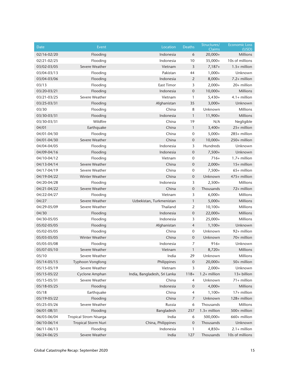| Date        | Event                         | Location                     | Deaths           | Structures/<br>Claims | <b>Economic Loss</b><br>(USD) |
|-------------|-------------------------------|------------------------------|------------------|-----------------------|-------------------------------|
| 02/16-02/20 | Flooding                      | Indonesia                    | 6                | $20,000+$             | <b>Millions</b>               |
| 02/21-02/25 | Flooding                      | Indonesia                    | 10               | $35,000+$             | 10s of millions               |
| 03/02-03/05 | Severe Weather                | Vietnam                      | 3                | $7,187+$              | $1.5+$ million                |
| 03/04-03/13 | Flooding                      | Pakistan                     | 44               | $1,000+$              | Unknown                       |
| 03/04-03/06 | Flooding                      | Indonesia                    | $\overline{2}$   | $8,000+$              | 7.2+ million                  |
| 03/13       | Flooding                      | <b>East Timor</b>            | 3                | $2,000+$              | 20+ million                   |
| 03/20-03/21 | Flooding                      | Indonesia                    | $\mathbf 0$      | $10,000+$             | <b>Millions</b>               |
| 03/21-03/25 | Severe Weather                | Vietnam                      | $\mathbf{1}$     | $5,430+$              | 4.1+ million                  |
| 03/25-03/31 | Flooding                      | Afghanistan                  | 35               | $3,000+$              | Unknown                       |
| 03/30       | Flooding                      | China                        | 8                | Unknown               | Millions                      |
| 03/30-03/31 | Flooding                      | Indonesia                    | 1                | $11,900+$             | <b>Millions</b>               |
| 03/30-03/31 | Wildfire                      | China                        | 19               | N/A                   | Negligible                    |
| 04/01       | Earthquake                    | China                        | $\mathbf{1}$     | $3,400+$              | 25+ million                   |
| 04/01-04/30 | Flooding                      | China                        | 0                | $5,000+$              | 285+ million                  |
| 04/01-04/30 | Severe Weather                | China                        | $\mathbf 0$      | $10,000+$             | 250+ million                  |
| 04/04-04/05 | Flooding                      | Indonesia                    | 3                | Hundreds              | Unknown                       |
| 04/09-04/16 | Flooding                      | Indonesia                    | $\boldsymbol{0}$ | $7,500+$              | Unknown                       |
| 04/10-04/12 | Flooding                      | Vietnam                      | 0                | $716+$                | $1.7+$ million                |
| 04/13-04/14 | Severe Weather                | China                        | 0                | $2,000+$              | 15+ million                   |
| 04/17-04/19 | Severe Weather                | China                        | 0                | $7,500+$              | $65+$ million                 |
| 04/19-04/22 | <b>Winter Weather</b>         | China                        | $\mathbf 0$      | Unknown               | 475+ million                  |
| 04/20-04/28 | Flooding                      | Indonesia                    | 3                | $2,500+$              | Millions                      |
| 04/21-04/22 | Severe Weather                | China                        | $\boldsymbol{0}$ | Thousands             | 72+ million                   |
| 04/22-04/27 | Flooding                      | Vietnam                      | 3                | $6,000+$              | Millions                      |
| 04/27       | Severe Weather                | Uzbekistan, Turkmenistan     | 1                | $5,000+$              | <b>Millions</b>               |
| 04/29-05/09 | Severe Weather                | Thailand                     | 2                | $10,100+$             | <b>Millions</b>               |
| 04/30       | Flooding                      | Indonesia                    | $\boldsymbol{0}$ | $22,000+$             | Millions                      |
| 04/30-05/05 | Flooding                      | Indonesia                    | 3                | $25,000+$             | <b>Millions</b>               |
| 05/02-05/05 | Flooding                      | Afghanistan                  | $\overline{4}$   | $1,100+$              | Unknown                       |
| 05/02-05/05 | Flooding                      | China                        | 0                | Unknown               | 92+ million                   |
| 05/03-05/05 | Winter Weather                | China                        | $\mathbf 0$      | Unknown               | 70+ million                   |
| 05/05-05/08 | Flooding                      | Indonesia                    | 7                | $916+$                | Unknown                       |
| 05/07-05/10 | Severe Weather                | Vietnam                      | 1                | $8,720+$              | Millions                      |
| 05/10       | Severe Weather                | India                        | 29               | Unknown               | Millions                      |
| 05/14-05/15 | Typhoon Vongfong              | Philippines                  | $\pmb{0}$        | $20,000+$             | 50+ million                   |
| 05/15-05/19 | Severe Weather                | Vietnam                      | 3                | $2,000+$              | Unknown                       |
| 05/15-05/22 | Cyclone Amphan                | India, Bangladesh, Sri Lanka | $118+$           | 1.2+ million          | 13+ billion                   |
| 05/15-05/31 | Severe Weather                | China                        | 4                | Unknown               | 71+ million                   |
| 05/18-05/25 | Flooding                      | Indonesia                    | 0                | $4,000+$              | Millions                      |
| 05/18       | Earthquake                    | China                        | 4                | $1,100+$              | 17+ million                   |
| 05/19-05/22 | Flooding                      | China                        | $\overline{7}$   | Unknown               | 128+ million                  |
| 05/25-05/26 | Severe Weather                | Russia                       | 6                | Thousands             | Millions                      |
| 06/01-08/31 | Flooding                      | Bangladesh                   | 257              | 1.3+ million          | 500+ million                  |
| 06/03-06/04 | <b>Tropical Strom Nisarga</b> | India                        | 6                | 500,000+              | 660+ million                  |
| 06/10-06/14 | <b>Tropical Storm Nuri</b>    | China, Philippines           | 0                | Thousands             | Unknown                       |
| 06/11-06/13 | Flooding                      | Indonesia                    | 1                | $4,850+$              | $2.1+$ million                |
| 06/24-06/25 | Severe Weather                | India                        | 127              | Thousands             | 10s of millions               |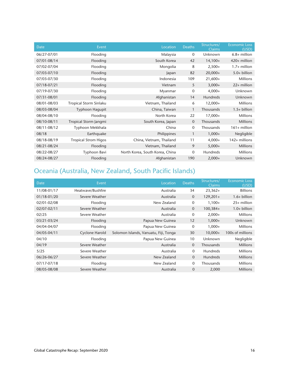| Date        | Event                       | Location                        | <b>Deaths</b> | Structures/<br><b>Claims</b> | <b>Economic Loss</b><br>(USD) |
|-------------|-----------------------------|---------------------------------|---------------|------------------------------|-------------------------------|
| 06/27-07/01 | Flooding                    | Malaysia                        | $\mathbf 0$   | Unknown                      | $6.8+$ million                |
| 07/01-08/14 | Flooding                    | South Korea                     | 42            | $14,100+$                    | 420+ million                  |
| 07/02-07/04 | Flooding                    | Mongolia                        | 8             | $2,500+$                     | $1.7+$ million                |
| 07/03-07/10 | Flooding                    | Japan                           | 82            | $20,000+$                    | 5.0+ billion                  |
| 07/03-07/30 | Flooding                    | Indonesia                       | 109           | $21,600+$                    | <b>Millions</b>               |
| 07/18-07/21 | Flooding                    | Vietnam                         | 5             | $3,000+$                     | $22+$ million                 |
| 07/19-07/30 | Flooding                    | Myanmar                         | $\mathbf 0$   | $4,000+$                     | Unknown                       |
| 07/31-08/01 | Flooding                    | Afghanistan                     | 14            | <b>Hundreds</b>              | Unknown                       |
| 08/01-08/03 | Tropical Storm Sinlaku      | Vietnam, Thailand               | 6             | $12,000+$                    | <b>Millions</b>               |
| 08/03-08/04 | Typhoon Hagupit             | China, Taiwan                   | $\mathbf{1}$  | Thousands                    | $1.5+$ billion                |
| 08/04-08/10 | Flooding                    | North Korea                     | 22            | $17,000+$                    | <b>Millions</b>               |
| 08/10-08/11 | Tropical Storm Jangmi       | South Korea, Japan              | 0             | Thousands                    | <b>Millions</b>               |
| 08/11-08/12 | Typhoon Mekkhala            | China                           | 0             | Thousands                    | $161 +$ million               |
| 08/18       | Earthquake                  | Philippines                     | $\mathbf{1}$  | $1,000+$                     | Negligible                    |
| 08/18-08/19 | <b>Tropical Strom Higos</b> | China, Vietnam, Thailand        | 11            | $4,000+$                     | 142+ millions                 |
| 08/21-08/24 | Flooding                    | Vietnam, Thailand               | 9             | $5,000+$                     | <b>Millions</b>               |
| 08/22-08/27 | Typhoon Bavi                | North Korea, South Korea, China | $\mathbf 0$   | Hundreds                     | <b>Millions</b>               |
| 08/24-08/27 | Flooding                    | Afghanistan                     | 190           | $2,000+$                     | Unknown                       |

### Oceania (Australia, New Zealand, South Pacific Islands)

| <b>Date</b> | Event                 | Location                              | <b>Deaths</b>  | Structures/<br><b>Claims</b> | <b>Economic Loss</b><br>(USD) |
|-------------|-----------------------|---------------------------------------|----------------|------------------------------|-------------------------------|
| 11/08-01/17 | Heatwave/Bushfire     | Australia                             | 34             | $23,362+$                    | <b>Billions</b>               |
| 01/18-01/20 | Severe Weather        | Australia                             | $\overline{0}$ | $129,201+$                   | $1.6+$ billion                |
| 02/01-02/08 | Flooding              | New Zealand                           | 0              | $1,100+$                     | $25+$ million                 |
| 02/07-02/11 | Severe Weather        | Australia                             | $\overline{0}$ | $100,384+$                   | $1.0+$ billion                |
| 02/25       | Severe Weather        | Australia                             | 0              | $2,000+$                     | <b>Millions</b>               |
| 03/21-03/24 | Flooding              | Papua New Guinea                      | 12             | $1,000+$                     | <b>Unknown</b>                |
| 04/04-04/07 | Flooding              | Papua New Guinea                      | $\mathbf 0$    | $1,000+$                     | <b>Millions</b>               |
| 04/05-04/11 | <b>Cyclone Harold</b> | Solomon Islands, Vanuatu, Fiji, Tonga | 30             | $10,000+$                    | 100s of millions              |
| 04/10       | Flooding              | Papua New Guinea                      | 10             | Unknown                      | Negligible                    |
| 04/19       | Severe Weather        | Australia                             | $\overline{0}$ | Thousands                    | <b>Millions</b>               |
| 5/25        | Severe Weather        | Australia                             | $\mathbf{0}$   | <b>Hundreds</b>              | <b>Millions</b>               |
| 06/26-06/27 | Severe Weather        | New Zealand                           | $\overline{0}$ | <b>Hundreds</b>              | <b>Millions</b>               |
| 07/17-07/18 | Flooding              | New Zealand                           | $\mathbf{0}$   | Thousands                    | <b>Millions</b>               |
| 08/05-08/08 | Severe Weather        | Australia                             | $\mathbf{0}$   | 2,000                        | <b>Millions</b>               |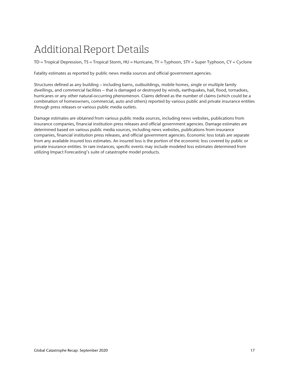## Additional Report Details

TD = Tropical Depression, TS = Tropical Storm, HU = Hurricane, TY = Typhoon, STY = Super Typhoon, CY = Cyclone

Fatality estimates as reported by public news media sources and official government agencies.

Structures defined as any building – including barns, outbuildings, mobile homes, single or multiple family dwellings, and commercial facilities – that is damaged or destroyed by winds, earthquakes, hail, flood, tornadoes, hurricanes or any other natural-occurring phenomenon. Claims defined as the number of claims (which could be a combination of homeowners, commercial, auto and others) reported by various public and private insurance entities through press releases or various public media outlets.

Damage estimates are obtained from various public media sources, including news websites, publications from insurance companies, financial institution press releases and official government agencies. Damage estimates are determined based on various public media sources, including news websites, publications from insurance companies, financial institution press releases, and official government agencies. Economic loss totals are separate from any available insured loss estimates. An insured loss is the portion of the economic loss covered by public or private insurance entities. In rare instances, specific events may include modeled loss estimates determined from utilizing Impact Forecasting's suite of catastrophe model products.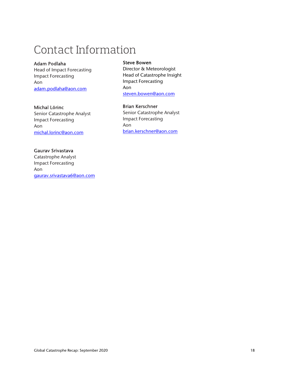## Contact Information

#### Adam Podlaha

Head of Impact Forecasting Impact Forecasting Aon adam.podlaha@aon.com

#### Michal Lörinc

Senior Catastrophe Analyst Impact Forecasting Aon michal.lorinc@aon.com

#### Gaurav Srivastava

Catastrophe Analyst Impact Forecasting Aon gaurav.srivastava6@aon.com

#### Steve Bowen

Director & Meteorologist Head of Catastrophe Insight Impact Forecasting Aon steven.bowen@aon.com

#### Brian Kerschner

Senior Catastrophe Analyst Impact Forecasting Aon brian.kerschner@aon.com